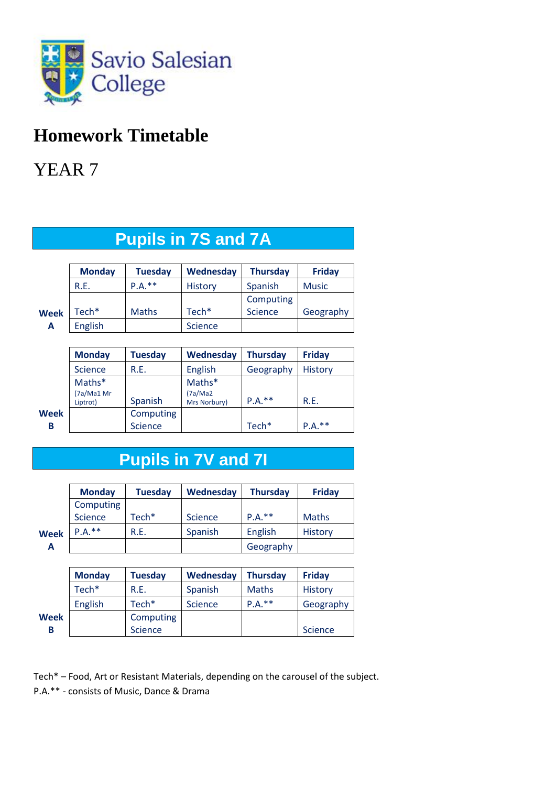

## **Homework Timetable**

YEAR 7

|--|

|             | <b>Monday</b>  | <b>Tuesday</b> | Wednesday         | <b>Thursday</b> | <b>Friday</b> |
|-------------|----------------|----------------|-------------------|-----------------|---------------|
|             | R.E.           | $P.A.**$       | <b>History</b>    | Spanish         | <b>Music</b>  |
|             |                |                |                   | Computing       |               |
| <b>Week</b> | Tech*          | <b>Maths</b>   | Tech <sup>*</sup> | <b>Science</b>  | Geography     |
| А           | <b>English</b> |                | <b>Science</b>    |                 |               |

|      | <b>Monday</b>          | Tuesday        | Wednesday                | <b>Thursday</b>   | <b>Friday</b>  |
|------|------------------------|----------------|--------------------------|-------------------|----------------|
|      | <b>Science</b>         | R.E.           | English                  | Geography         | <b>History</b> |
|      | Maths*                 |                | Maths*                   |                   |                |
|      | (7a/Ma1 Mr<br>Liptrot) | Spanish        | (7a/Ma2)<br>Mrs Norbury) | $P.A.***$         | R.E.           |
| Week |                        | Computing      |                          |                   |                |
| В    |                        | <b>Science</b> |                          | Tech <sup>*</sup> | $P.A.**$       |

## **Pupils in 7V and 7I**

|             | <b>Monday</b> | <b>Tuesday</b> | Wednesday      | <b>Thursday</b> | <b>Friday</b> |
|-------------|---------------|----------------|----------------|-----------------|---------------|
|             | Computing     |                |                |                 |               |
|             | Science       | Tech*          | <b>Science</b> | $P.A.**$        | <b>Maths</b>  |
| <b>Week</b> | $P.A.**$      | R.E.           | Spanish        | English         | History       |
| А           |               |                |                | Geography       |               |

|      | <b>Monday</b>     | <b>Tuesday</b> | Wednesday      | <b>Thursday</b> | <b>Friday</b>  |
|------|-------------------|----------------|----------------|-----------------|----------------|
|      | Tech <sup>*</sup> | R.E.           | Spanish        | <b>Maths</b>    | History        |
|      | <b>English</b>    | $Tech*$        | <b>Science</b> | $P.A.**$        | Geography      |
| Week |                   | Computing      |                |                 |                |
| В    |                   | <b>Science</b> |                |                 | <b>Science</b> |

Tech\* – Food, Art or Resistant Materials, depending on the carousel of the subject. P.A.\*\* - consists of Music, Dance & Drama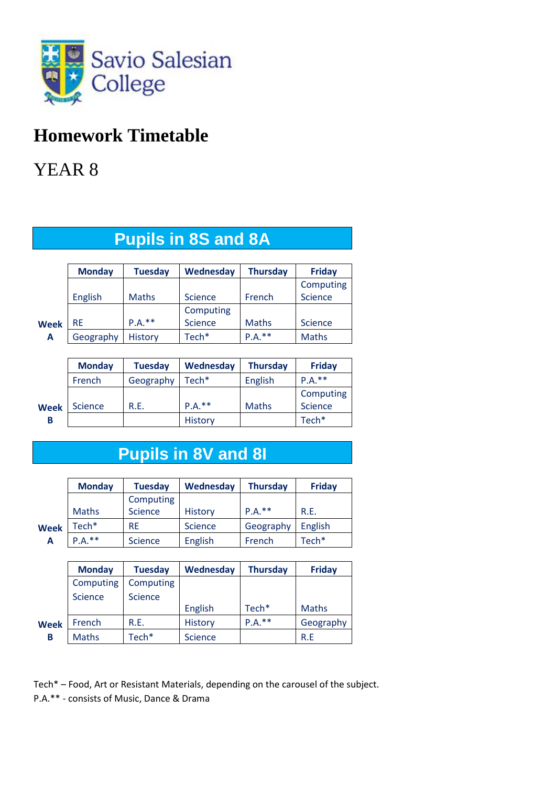

## **Homework Timetable**

## YEAR 8

|             | <b>Monday</b> | <b>Tuesday</b> | Wednesday      | <b>Thursday</b> | <b>Friday</b>  |
|-------------|---------------|----------------|----------------|-----------------|----------------|
|             |               |                |                |                 | Computing      |
|             | English       | <b>Maths</b>   | <b>Science</b> | French          | Science        |
|             |               |                | Computing      |                 |                |
| <b>Week</b> | <b>RE</b>     | $P.A.**$       | <b>Science</b> | <b>Maths</b>    | <b>Science</b> |
| А           | Geography     | <b>History</b> | Tech*          | $P.A.***$       | <b>Maths</b>   |

|             | <b>Monday</b>  | <b>Tuesday</b> | Wednesday         | <b>Thursday</b> | <b>Friday</b>     |
|-------------|----------------|----------------|-------------------|-----------------|-------------------|
|             | French         | Geography      | Tech <sup>*</sup> | English         | $P.A.**$          |
|             |                |                |                   |                 | Computing         |
| <b>Week</b> | <b>Science</b> | R.E.           | $P.A.**$          | <b>Maths</b>    | Science           |
| в           |                |                | <b>History</b>    |                 | Tech <sup>*</sup> |

# **Pupils in 8V and 8I**

|             | <b>Monday</b>     | <b>Tuesday</b> | Wednesday      | <b>Thursday</b> | <b>Friday</b>     |
|-------------|-------------------|----------------|----------------|-----------------|-------------------|
|             |                   | Computing      |                |                 |                   |
|             | <b>Maths</b>      | Science        | <b>History</b> | $P.A.**$        | R.E.              |
| <b>Week</b> | Tech <sup>*</sup> | <b>RE</b>      | <b>Science</b> | Geography       | English           |
| Α           | $P.A.**$          | <b>Science</b> | English        | French          | Tech <sup>*</sup> |

|             | <b>Monday</b>  | <b>Tuesday</b> | Wednesday      | <b>Thursday</b>   | <b>Friday</b> |
|-------------|----------------|----------------|----------------|-------------------|---------------|
|             | Computing      | Computing      |                |                   |               |
|             | <b>Science</b> | <b>Science</b> |                |                   |               |
|             |                |                | English        | Tech <sup>*</sup> | <b>Maths</b>  |
| <b>Week</b> | French         | R.E.           | History        | $P.A.**$          | Geography     |
| В           | <b>Maths</b>   | Tech*          | <b>Science</b> |                   | R.E           |

Tech\* – Food, Art or Resistant Materials, depending on the carousel of the subject. P.A.\*\* - consists of Music, Dance & Drama